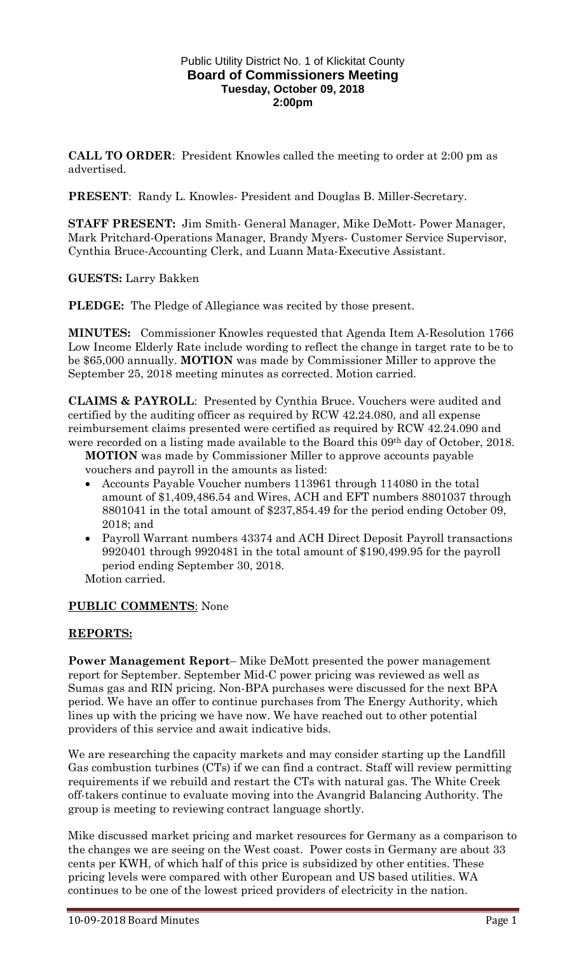#### Public Utility District No. 1 of Klickitat County **Board of Commissioners Meeting Tuesday, October 09, 2018 2:00pm**

**CALL TO ORDER**: President Knowles called the meeting to order at 2:00 pm as advertised.

**PRESENT**: Randy L. Knowles- President and Douglas B. Miller-Secretary.

**STAFF PRESENT:** Jim Smith- General Manager, Mike DeMott- Power Manager, Mark Pritchard-Operations Manager, Brandy Myers- Customer Service Supervisor, Cynthia Bruce-Accounting Clerk, and Luann Mata-Executive Assistant.

**GUESTS:** Larry Bakken

**PLEDGE:** The Pledge of Allegiance was recited by those present.

**MINUTES:** Commissioner Knowles requested that Agenda Item A-Resolution 1766 Low Income Elderly Rate include wording to reflect the change in target rate to be to be \$65,000 annually. **MOTION** was made by Commissioner Miller to approve the September 25, 2018 meeting minutes as corrected. Motion carried.

**CLAIMS & PAYROLL**: Presented by Cynthia Bruce. Vouchers were audited and certified by the auditing officer as required by RCW 42.24.080, and all expense reimbursement claims presented were certified as required by RCW 42.24.090 and were recorded on a listing made available to the Board this 09th day of October, 2018.

**MOTION** was made by Commissioner Miller to approve accounts payable vouchers and payroll in the amounts as listed:

- Accounts Payable Voucher numbers 113961 through 114080 in the total amount of \$1,409,486.54 and Wires, ACH and EFT numbers 8801037 through 8801041 in the total amount of \$237,854.49 for the period ending October 09, 2018; and
- Payroll Warrant numbers 43374 and ACH Direct Deposit Payroll transactions 9920401 through 9920481 in the total amount of \$190,499.95 for the payroll period ending September 30, 2018.

Motion carried.

## **PUBLIC COMMENTS**: None

### **REPORTS:**

**Power Management Report**– Mike DeMott presented the power management report for September. September Mid-C power pricing was reviewed as well as Sumas gas and RIN pricing. Non-BPA purchases were discussed for the next BPA period. We have an offer to continue purchases from The Energy Authority, which lines up with the pricing we have now. We have reached out to other potential providers of this service and await indicative bids.

We are researching the capacity markets and may consider starting up the Landfill Gas combustion turbines (CTs) if we can find a contract. Staff will review permitting requirements if we rebuild and restart the CTs with natural gas. The White Creek off-takers continue to evaluate moving into the Avangrid Balancing Authority. The group is meeting to reviewing contract language shortly.

Mike discussed market pricing and market resources for Germany as a comparison to the changes we are seeing on the West coast. Power costs in Germany are about 33 cents per KWH, of which half of this price is subsidized by other entities. These pricing levels were compared with other European and US based utilities. WA continues to be one of the lowest priced providers of electricity in the nation.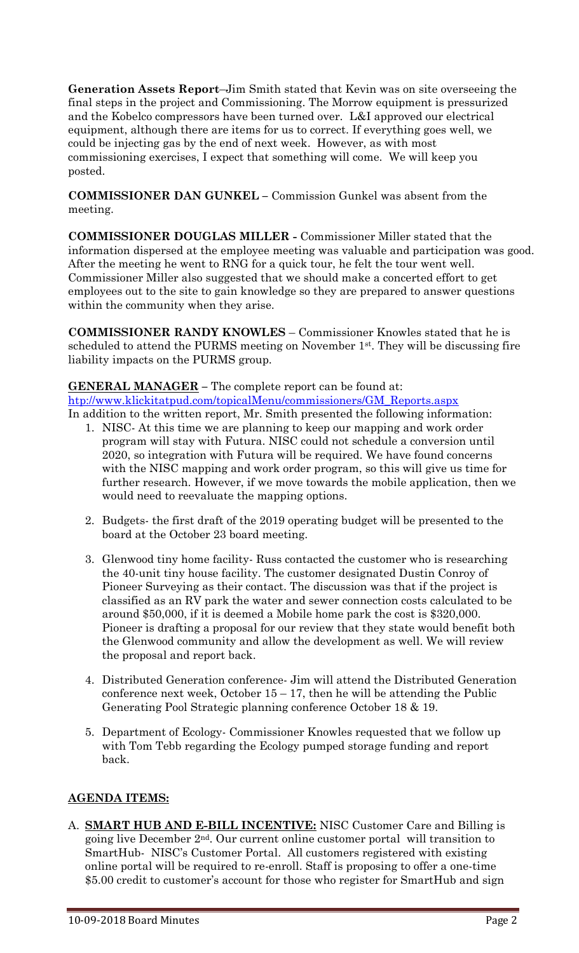**Generation Assets Report**–Jim Smith stated that Kevin was on site overseeing the final steps in the project and Commissioning. The Morrow equipment is pressurized and the Kobelco compressors have been turned over. L&I approved our electrical equipment, although there are items for us to correct. If everything goes well, we could be injecting gas by the end of next week. However, as with most commissioning exercises, I expect that something will come. We will keep you posted.

**COMMISSIONER DAN GUNKEL –** Commission Gunkel was absent from the meeting.

**COMMISSIONER DOUGLAS MILLER -** Commissioner Miller stated that the information dispersed at the employee meeting was valuable and participation was good. After the meeting he went to RNG for a quick tour, he felt the tour went well. Commissioner Miller also suggested that we should make a concerted effort to get employees out to the site to gain knowledge so they are prepared to answer questions within the community when they arise.

**COMMISSIONER RANDY KNOWLES** – Commissioner Knowles stated that he is scheduled to attend the PURMS meeting on November 1st . They will be discussing fire liability impacts on the PURMS group.

# **GENERAL MANAGER –** The complete report can be found at: [htp://www.klickitatpud.com/topicalMenu/commissioners/GM\\_Reports.aspx](http://www.klickitatpud.com/topicalMenu/commissioners/GM_Reports.aspx)

- In addition to the written report, Mr. Smith presented the following information: 1. NISC- At this time we are planning to keep our mapping and work order program will stay with Futura. NISC could not schedule a conversion until 2020, so integration with Futura will be required. We have found concerns with the NISC mapping and work order program, so this will give us time for further research. However, if we move towards the mobile application, then we would need to reevaluate the mapping options.
	- 2. Budgets- the first draft of the 2019 operating budget will be presented to the board at the October 23 board meeting.
	- 3. Glenwood tiny home facility- Russ contacted the customer who is researching the 40-unit tiny house facility. The customer designated Dustin Conroy of Pioneer Surveying as their contact. The discussion was that if the project is classified as an RV park the water and sewer connection costs calculated to be around \$50,000, if it is deemed a Mobile home park the cost is \$320,000. Pioneer is drafting a proposal for our review that they state would benefit both the Glenwood community and allow the development as well. We will review the proposal and report back.
	- 4. Distributed Generation conference- Jim will attend the Distributed Generation conference next week, October  $15 - 17$ , then he will be attending the Public Generating Pool Strategic planning conference October 18 & 19.
	- 5. Department of Ecology- Commissioner Knowles requested that we follow up with Tom Tebb regarding the Ecology pumped storage funding and report back.

## **AGENDA ITEMS:**

A. **SMART HUB AND E-BILL INCENTIVE:** NISC Customer Care and Billing is going live December 2nd. Our current online customer portal will transition to SmartHub- NISC's Customer Portal. All customers registered with existing online portal will be required to re-enroll. Staff is proposing to offer a one-time \$5.00 credit to customer's account for those who register for SmartHub and sign